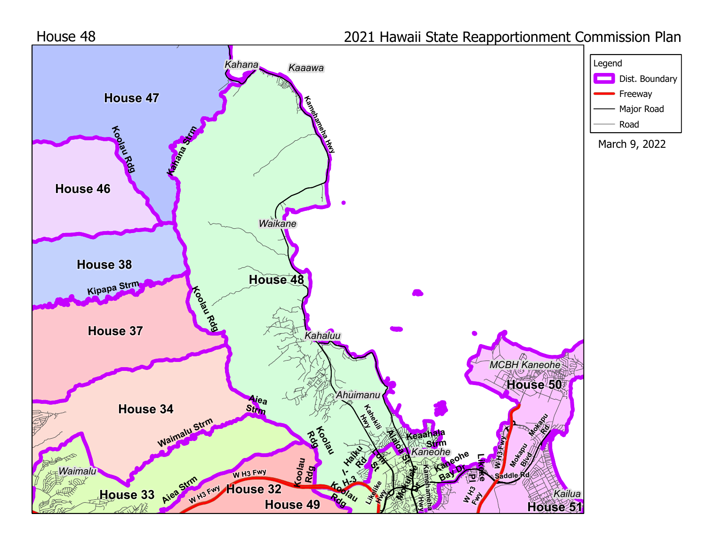